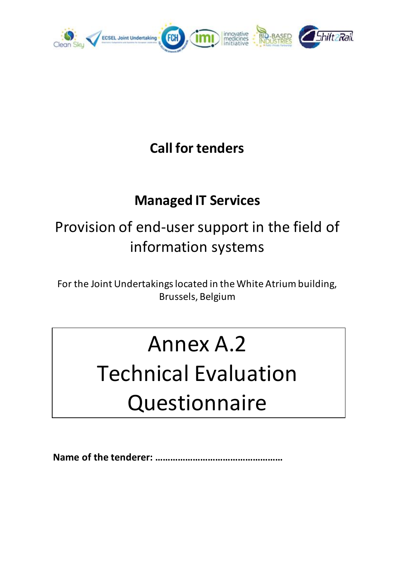

### **Call for tenders**

### **Managed IT Services**

## Provision of end-user support in the field of information systems

For the Joint Undertakings located in the White Atrium building, Brussels, Belgium

## Annex A.2

# Technical Evaluation **Questionnaire**

**Name of the tenderer: ……………………………………………**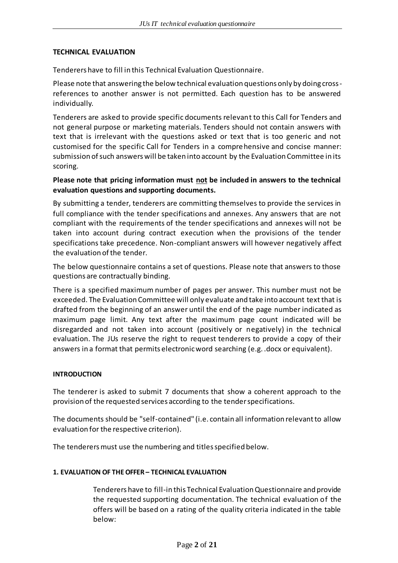#### **TECHNICAL EVALUATION**

Tenderers have to fill in this Technical Evaluation Questionnaire.

Please note that answering the below technical evaluation questions only by doing crossreferences to another answer is not permitted. Each question has to be answered individually.

Tenderers are asked to provide specific documents relevant to this Call for Tenders and not general purpose or marketing materials. Tenders should not contain answers with text that is irrelevant with the questions asked or text that is too generic and not customised for the specific Call for Tenders in a comprehensive and concise manner: submission of such answers will be taken into account by the Evaluation Committee in its scoring.

#### **Please note that pricing information must not be included in answers to the technical evaluation questions and supporting documents.**

By submitting a tender, tenderers are committing themselves to provide the services in full compliance with the tender specifications and annexes. Any answers that are not compliant with the requirements of the tender specifications and annexes will not be taken into account during contract execution when the provisions of the tender specifications take precedence. Non-compliant answers will however negatively affect the evaluation of the tender.

The below questionnaire contains a set of questions. Please note that answers to those questions are contractually binding.

There is a specified maximum number of pages per answer. This number must not be exceeded. The Evaluation Committee will only evaluate and take into account text that is drafted from the beginning of an answer until the end of the page number indicated as maximum page limit. Any text after the maximum page count indicated will be disregarded and not taken into account (positively or negatively) in the technical evaluation. The JUs reserve the right to request tenderers to provide a copy of their answers in a format that permits electronic word searching (e.g. .docx or equivalent).

#### **INTRODUCTION**

The tenderer is asked to submit 7 documents that show a coherent approach to the provision of the requested services according to the tender specifications.

The documents should be "self-contained" (i.e. contain all information relevant to allow evaluation for the respective criterion).

The tenderers must use the numbering and titles specified below.

#### **1. EVALUATION OF THEOFFER – TECHNICAL EVALUATION**

Tenderers have to fill-in this Technical Evaluation Questionnaire and provide the requested supporting documentation. The technical evaluation of the offers will be based on a rating of the quality criteria indicated in the table below: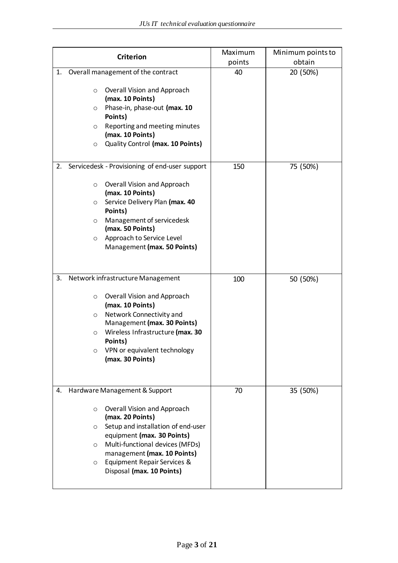| <b>Criterion</b>                                                                                                                                                                                                                                                                                                                     | Maximum<br>points | Minimum points to<br>obtain |
|--------------------------------------------------------------------------------------------------------------------------------------------------------------------------------------------------------------------------------------------------------------------------------------------------------------------------------------|-------------------|-----------------------------|
| Overall management of the contract<br>1.<br>Overall Vision and Approach<br>$\circ$<br>(max. 10 Points)<br>Phase-in, phase-out (max. 10<br>$\circ$<br>Points)<br>Reporting and meeting minutes<br>$\circ$<br>(max. 10 Points)<br>Quality Control (max. 10 Points)<br>$\circ$                                                          | 40                | 20 (50%)                    |
| Servicedesk - Provisioning of end-user support<br>2.<br>Overall Vision and Approach<br>$\circ$<br>(max. 10 Points)<br>Service Delivery Plan (max. 40<br>$\circ$<br>Points)<br>Management of servicedesk<br>$\circ$<br>(max. 50 Points)<br>Approach to Service Level<br>$\circ$<br>Management (max. 50 Points)                        | 150               | 75 (50%)                    |
| Network infrastructure Management<br>3.<br>Overall Vision and Approach<br>$\circ$<br>(max. 10 Points)<br>Network Connectivity and<br>$\circ$<br>Management (max. 30 Points)<br>Wireless Infrastructure (max. 30<br>$\circ$<br>Points)<br>VPN or equivalent technology<br>$\circ$<br>(max. 30 Points)                                 | 100               | 50 (50%)                    |
| Hardware Management & Support<br>4.<br>Overall Vision and Approach<br>$\circ$<br>(max. 20 Points)<br>Setup and installation of end-user<br>$\circ$<br>equipment (max. 30 Points)<br>Multi-functional devices (MFDs)<br>$\circ$<br>management (max. 10 Points)<br>Equipment Repair Services &<br>$\circ$<br>Disposal (max. 10 Points) | 70                | 35 (50%)                    |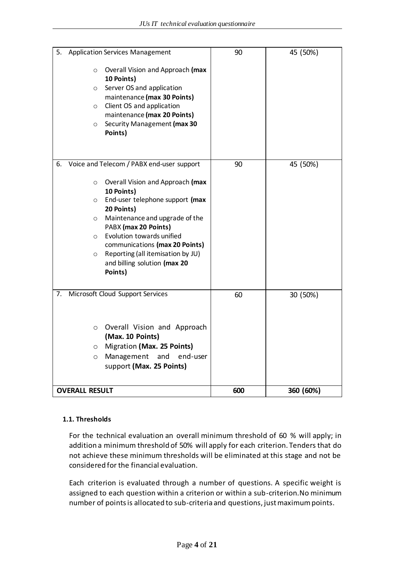| 5. |                                    | <b>Application Services Management</b>                                                                                                                                                                           | 90  | 45 (50%)  |
|----|------------------------------------|------------------------------------------------------------------------------------------------------------------------------------------------------------------------------------------------------------------|-----|-----------|
|    | $\circ$<br>O<br>$\circ$<br>$\circ$ | Overall Vision and Approach (max<br>10 Points)<br>Server OS and application<br>maintenance (max 30 Points)<br>Client OS and application<br>maintenance (max 20 Points)<br>Security Management (max 30<br>Points) |     |           |
| 6. |                                    | Voice and Telecom / PABX end-user support                                                                                                                                                                        | 90  | 45 (50%)  |
|    | $\circ$                            | Overall Vision and Approach (max<br>10 Points)                                                                                                                                                                   |     |           |
|    | O                                  | End-user telephone support (max<br>20 Points)                                                                                                                                                                    |     |           |
|    | $\circ$                            | Maintenance and upgrade of the<br>PABX (max 20 Points)                                                                                                                                                           |     |           |
|    | $\circ$                            | Evolution towards unified                                                                                                                                                                                        |     |           |
|    | $\circ$                            | communications (max 20 Points)<br>Reporting (all itemisation by JU)<br>and billing solution (max 20<br>Points)                                                                                                   |     |           |
| 7. |                                    | Microsoft Cloud Support Services                                                                                                                                                                                 | 60  | 30 (50%)  |
|    | $\circ$                            | Overall Vision and Approach<br>(Max. 10 Points)                                                                                                                                                                  |     |           |
|    | 0                                  | Migration (Max. 25 Points)                                                                                                                                                                                       |     |           |
|    | O                                  | Management and<br>end-user<br>support (Max. 25 Points)                                                                                                                                                           |     |           |
|    | <b>OVERALL RESULT</b>              |                                                                                                                                                                                                                  | 600 | 360 (60%) |

#### **1.1. Thresholds**

For the technical evaluation an overall minimum threshold of 60 % will apply; in addition a minimum threshold of 50% will apply for each criterion. Tenders that do not achieve these minimum thresholds will be eliminated at this stage and not be considered for the financial evaluation.

Each criterion is evaluated through a number of questions. A specific weight is assigned to each question within a criterion or within a sub-criterion.No minimum number of points is allocated to sub-criteria and questions, just maximum points.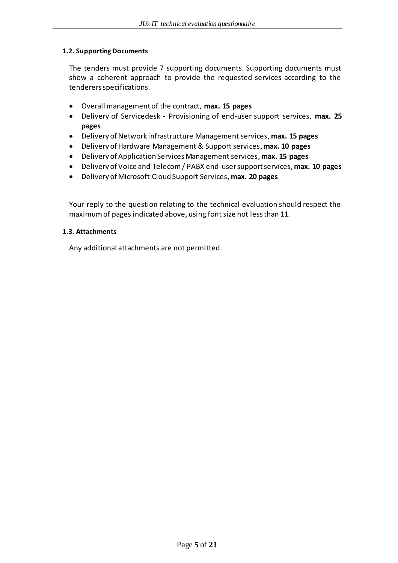#### **1.2. Supporting Documents**

The tenders must provide 7 supporting documents. Supporting documents must show a coherent approach to provide the requested services according to the tenderers specifications.

- Overall management of the contract, **max. 15 pages**
- Delivery of Servicedesk Provisioning of end-user support services, **max. 25 pages**
- Delivery of Network infrastructure Management services, **max. 15 pages**
- Delivery of Hardware Management & Support services, **max. 10 pages**
- Delivery of Application Services Management services, **max. 15 pages**
- Delivery of Voice and Telecom / PABX end-user support services, **max. 10 pages**
- Delivery of Microsoft Cloud Support Services, **max. 20 pages**

Your reply to the question relating to the technical evaluation should respect the maximum of pages indicated above, using font size not less than 11.

#### **1.3. Attachments**

Any additional attachments are not permitted.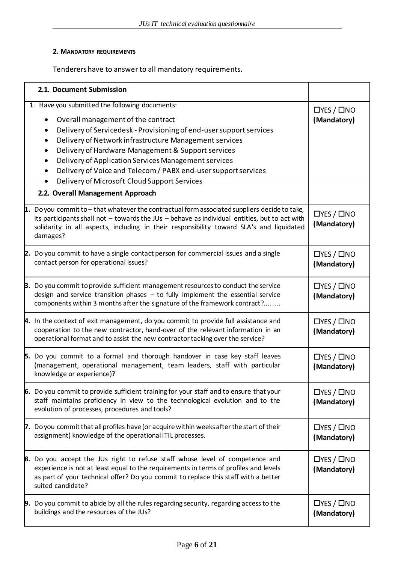#### **2. MANDATORY REQUIREMENTS**

Tenderers have to answer to all mandatory requirements.

| 2.1. Document Submission                                                                                                                                                                                                                                                                                                                                                                                                                                                        |                                       |
|---------------------------------------------------------------------------------------------------------------------------------------------------------------------------------------------------------------------------------------------------------------------------------------------------------------------------------------------------------------------------------------------------------------------------------------------------------------------------------|---------------------------------------|
| 1. Have you submitted the following documents:<br>Overall management of the contract<br>$\bullet$<br>Delivery of Servicedesk - Provisioning of end-user support services<br>Delivery of Network infrastructure Management services<br>Delivery of Hardware Management & Support services<br>Delivery of Application Services Management services<br>Delivery of Voice and Telecom / PABX end-user support services<br>$\bullet$<br>Delivery of Microsoft Cloud Support Services | $\Box$ YES / $\Box$ NO<br>(Mandatory) |
| 2.2. Overall Management Approach                                                                                                                                                                                                                                                                                                                                                                                                                                                |                                       |
| 1. Do you commit to $-$ that whatever the contractual form associated suppliers decide to take,<br>its participants shall not - towards the JUs - behave as individual entities, but to act with<br>solidarity in all aspects, including in their responsibility toward SLA's and liquidated<br>damages?                                                                                                                                                                        | $\Box$ YES / $\Box$ NO<br>(Mandatory) |
| 2. Do you commit to have a single contact person for commercial issues and a single<br>contact person for operational issues?                                                                                                                                                                                                                                                                                                                                                   | $\Box$ YES / $\Box$ NO<br>(Mandatory) |
| <b>3.</b> Do you commit to provide sufficient management resources to conduct the service<br>design and service transition phases $-$ to fully implement the essential service<br>components within 3 months after the signature of the framework contract?                                                                                                                                                                                                                     | $\Box$ YES / $\Box$ NO<br>(Mandatory) |
| 4. In the context of exit management, do you commit to provide full assistance and<br>cooperation to the new contractor, hand-over of the relevant information in an<br>operational format and to assist the new contractor tacking over the service?                                                                                                                                                                                                                           | $\Box$ YES / $\Box$ NO<br>(Mandatory) |
| 5. Do you commit to a formal and thorough handover in case key staff leaves<br>(management, operational management, team leaders, staff with particular<br>knowledge or experience)?                                                                                                                                                                                                                                                                                            | $\Box$ YES / $\Box$ NO<br>(Mandatory) |
| 6. Do you commit to provide sufficient training for your staff and to ensure that your<br>staff maintains proficiency in view to the technological evolution and to the<br>evolution of processes, procedures and tools?                                                                                                                                                                                                                                                        | $\Box$ YES / $\Box$ NO<br>(Mandatory) |
| 7. Do you commit that all profiles have (or acquire within weeks after the start of their<br>assignment) knowledge of the operational ITIL processes.                                                                                                                                                                                                                                                                                                                           | $\Box$ YES / $\Box$ NO<br>(Mandatory) |
| <b>8.</b> Do you accept the JUs right to refuse staff whose level of competence and<br>experience is not at least equal to the requirements in terms of profiles and levels<br>as part of your technical offer? Do you commit to replace this staff with a better<br>suited candidate?                                                                                                                                                                                          | $\Box$ YES / $\Box$ NO<br>(Mandatory) |
| <b>9.</b> Do you commit to abide by all the rules regarding security, regarding access to the<br>buildings and the resources of the JUs?                                                                                                                                                                                                                                                                                                                                        | $\Box$ YES / $\Box$ NO<br>(Mandatory) |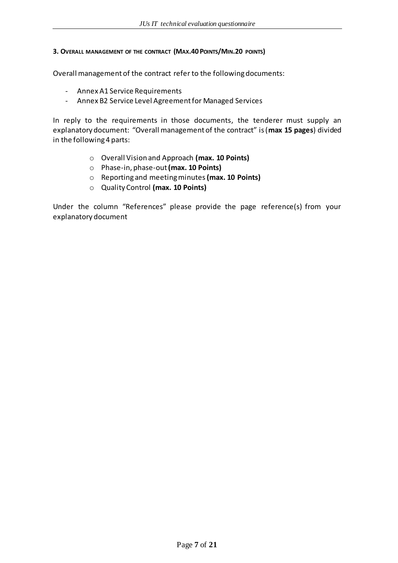#### **3. OVERALL MANAGEMENT OF THE CONTRACT (MAX.40 POINTS/MIN.20 POINTS)**

Overall management of the contract refer to the following documents:

- Annex A1 Service Requirements
- Annex B2 Service Level Agreement for Managed Services

In reply to the requirements in those documents, the tenderer must supply an explanatory document: "Overall management of the contract" is (**max 15 pages**) divided in the following 4 parts:

- o Overall Vision and Approach **(max. 10 Points)**
- o Phase-in, phase-out **(max. 10 Points)**
- o Reporting and meeting minutes**(max. 10 Points)**
- o Quality Control **(max. 10 Points)**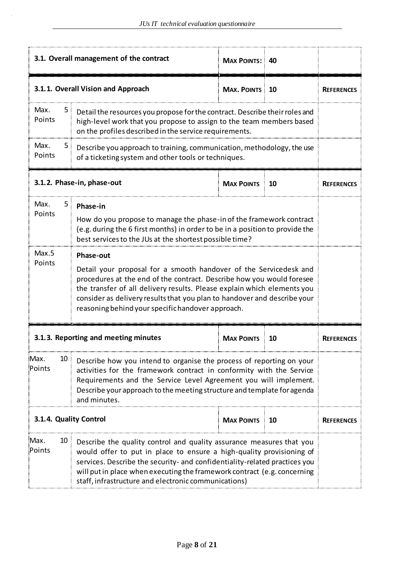|                                   | 3.1. Overall management of the contract                                                                                                                                                                                                                                                                                                                             | <b>MAX POINTS: 40</b>  |    |                   |  |  |
|-----------------------------------|---------------------------------------------------------------------------------------------------------------------------------------------------------------------------------------------------------------------------------------------------------------------------------------------------------------------------------------------------------------------|------------------------|----|-------------------|--|--|
|                                   | 3.1.1. Overall Vision and Approach                                                                                                                                                                                                                                                                                                                                  | <b>MAX. POINTS: 10</b> |    | <b>REFERENCES</b> |  |  |
| Max.<br>: ל<br>Points             | Detail the resources you propose for the contract. Describe their roles and<br>high-level work that you propose to assign to the team members based<br>on the profiles described in the service requirements.                                                                                                                                                       |                        |    |                   |  |  |
| Max.<br>5 <sup>1</sup><br>Points  | Describe you approach to training, communication, methodology, the use<br>of a ticketing system and other tools or techniques.                                                                                                                                                                                                                                      |                        |    |                   |  |  |
|                                   | 3.1.2. Phase-in, phase-out                                                                                                                                                                                                                                                                                                                                          | <b>MAX POINTS 10</b>   |    | <b>REFERENCES</b> |  |  |
| Max.<br>5:<br>Points              | Phase-in<br>How do you propose to manage the phase-in of the framework contract<br>(e.g. during the 6 first months) in order to be in a position to provide the<br>best services to the JUs at the shortest possible time?                                                                                                                                          |                        |    |                   |  |  |
| Max.5<br>Points                   | Phase-out<br>Detail your proposal for a smooth handover of the Servicedesk and<br>procedures at the end of the contract. Describe how you would foresee<br>the transfer of all delivery results. Please explain which elements you<br>consider as delivery results that you plan to handover and describe your<br>reasoning behind your specific handover approach. |                        |    |                   |  |  |
|                                   | 3.1.3. Reporting and meeting minutes                                                                                                                                                                                                                                                                                                                                | <b>MAX POINTS</b>      | 10 | <b>REFERENCES</b> |  |  |
| Max.<br>Points                    | 10 <sup>1</sup><br>Describe how you intend to organise the process of reporting on your<br>activities for the framework contract in conformity with the Service<br>Requirements and the Service Level Agreement you will implement.<br>Describe your approach to the meeting structure and template for agenda<br>and minutes.                                      |                        |    |                   |  |  |
| 3.1.4. Quality Control            |                                                                                                                                                                                                                                                                                                                                                                     | <b>MAX POINTS 10</b>   |    | <b>REFERENCES</b> |  |  |
| Max.<br>10 <sup>3</sup><br>Points | Describe the quality control and quality assurance measures that you<br>would offer to put in place to ensure a high-quality provisioning of<br>services. Describe the security- and confidentiality-related practices you<br>will put in place when executing the framework contract (e.g. concerning<br>staff, infrastructure and electronic communications)      |                        |    |                   |  |  |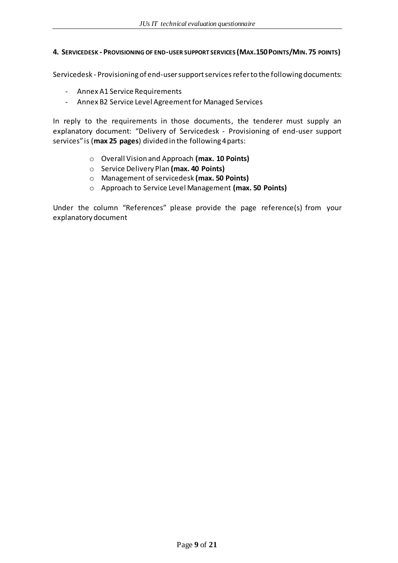#### **4. SERVICEDESK - PROVISIONING OF END-USER SUPPORT SERVICES (MAX.150POINTS/MIN. 75 POINTS)**

Servicedesk - Provisioning of end-user support services refer to the following documents:

- Annex A1 Service Requirements
- Annex B2 Service Level Agreement for Managed Services

In reply to the requirements in those documents, the tenderer must supply an explanatory document: "Delivery of Servicedesk - Provisioning of end-user support services" is (**max 25 pages**) divided in the following 4 parts:

- o Overall Vision and Approach **(max. 10 Points)**
- o Service Delivery Plan **(max. 40 Points)**
- o Management of servicedesk **(max. 50 Points)**
- o Approach to Service Level Management **(max. 50 Points)**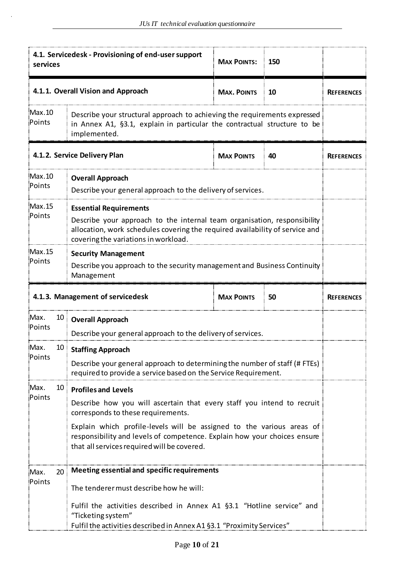| 4.1. Servicedesk - Provisioning of end-user support<br>services |                                                                                                                                                                                                                                   | <b>MAX POINTS:</b>                                                                                                                                                    | 150                |    |                   |  |
|-----------------------------------------------------------------|-----------------------------------------------------------------------------------------------------------------------------------------------------------------------------------------------------------------------------------|-----------------------------------------------------------------------------------------------------------------------------------------------------------------------|--------------------|----|-------------------|--|
|                                                                 |                                                                                                                                                                                                                                   | 4.1.1. Overall Vision and Approach                                                                                                                                    | <b>MAX. POINTS</b> | 10 | <b>REFERENCES</b> |  |
| Max.10<br>Points                                                | Describe your structural approach to achieving the requirements expressed<br>in Annex A1, §3.1, explain in particular the contractual structure to be<br>implemented.                                                             |                                                                                                                                                                       |                    |    |                   |  |
|                                                                 | 4.1.2. Service Delivery Plan<br><b>MAX POINTS</b><br>40<br><b>REFERENCES</b>                                                                                                                                                      |                                                                                                                                                                       |                    |    |                   |  |
| Max.10<br>Points                                                | <b>Overall Approach</b><br>Describe your general approach to the delivery of services.                                                                                                                                            |                                                                                                                                                                       |                    |    |                   |  |
| Max.15<br>Points                                                | <b>Essential Requirements</b><br>Describe your approach to the internal team organisation, responsibility<br>allocation, work schedules covering the required availability of service and<br>covering the variations in workload. |                                                                                                                                                                       |                    |    |                   |  |
| Max.15<br>Points                                                | <b>Security Management</b><br>Describe you approach to the security management and Business Continuity<br>Management                                                                                                              |                                                                                                                                                                       |                    |    |                   |  |
|                                                                 | 4.1.3. Management of servicedesk<br><b>MAX POINTS</b><br>50                                                                                                                                                                       |                                                                                                                                                                       |                    |    | <b>REFERENCES</b> |  |
| :Max.                                                           |                                                                                                                                                                                                                                   | 10 Overall Approach                                                                                                                                                   |                    |    |                   |  |
| Points                                                          |                                                                                                                                                                                                                                   | Describe your general approach to the delivery of services.                                                                                                           |                    |    |                   |  |
| :Max.<br>Points                                                 |                                                                                                                                                                                                                                   | 10 Staffing Approach                                                                                                                                                  |                    |    |                   |  |
|                                                                 |                                                                                                                                                                                                                                   | Describe your general approach to determining the number of staff (# FTEs)<br>required to provide a service based on the Service Requirement.                         |                    |    |                   |  |
| Max.                                                            | 10 <sub>1</sub>                                                                                                                                                                                                                   | <b>Profiles and Levels</b>                                                                                                                                            |                    |    |                   |  |
| Points                                                          |                                                                                                                                                                                                                                   | Describe how you will ascertain that every staff you intend to recruit<br>corresponds to these requirements.                                                          |                    |    |                   |  |
|                                                                 | Explain which profile-levels will be assigned to the various areas of<br>responsibility and levels of competence. Explain how your choices ensure<br>that all services required will be covered.                                  |                                                                                                                                                                       |                    |    |                   |  |
| :Max.                                                           | 20                                                                                                                                                                                                                                | Meeting essential and specific requirements                                                                                                                           |                    |    |                   |  |
| Points                                                          |                                                                                                                                                                                                                                   | The tenderer must describe how he will:                                                                                                                               |                    |    |                   |  |
|                                                                 |                                                                                                                                                                                                                                   | Fulfil the activities described in Annex A1 §3.1 "Hotline service" and<br>"Ticketing system"<br>Fulfil the activities described in Annex A1 §3.1 "Proximity Services" |                    |    |                   |  |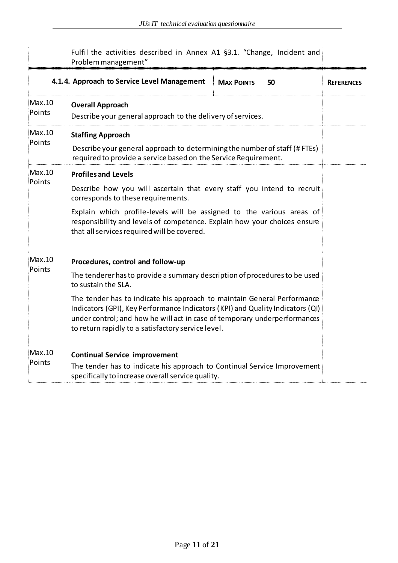|                  | Fulfil the activities described in Annex A1 §3.1. "Change, Incident and<br>Problem management"                                                                                                                                                                                               |                   |    |                   |  |  |
|------------------|----------------------------------------------------------------------------------------------------------------------------------------------------------------------------------------------------------------------------------------------------------------------------------------------|-------------------|----|-------------------|--|--|
|                  | 4.1.4. Approach to Service Level Management                                                                                                                                                                                                                                                  | <b>MAX POINTS</b> | 50 | <b>REFERENCES</b> |  |  |
| Max.10<br>Points | <b>Overall Approach</b><br>Describe your general approach to the delivery of services.                                                                                                                                                                                                       |                   |    |                   |  |  |
| Max.10<br>Points | <b>Staffing Approach</b>                                                                                                                                                                                                                                                                     |                   |    |                   |  |  |
|                  | Describe your general approach to determining the number of staff (# FTEs)<br>required to provide a service based on the Service Requirement.                                                                                                                                                |                   |    |                   |  |  |
| Max.10<br>Points | <b>Profiles and Levels</b>                                                                                                                                                                                                                                                                   |                   |    |                   |  |  |
|                  | Describe how you will ascertain that every staff you intend to recruit<br>corresponds to these requirements.                                                                                                                                                                                 |                   |    |                   |  |  |
|                  | Explain which profile-levels will be assigned to the various areas of<br>responsibility and levels of competence. Explain how your choices ensure<br>that all services required will be covered.                                                                                             |                   |    |                   |  |  |
| Max.10           | Procedures, control and follow-up                                                                                                                                                                                                                                                            |                   |    |                   |  |  |
| Points           | The tenderer has to provide a summary description of procedures to be used<br>to sustain the SLA.                                                                                                                                                                                            |                   |    |                   |  |  |
|                  | The tender has to indicate his approach to maintain General Performance<br>Indicators (GPI), Key Performance Indicators (KPI) and Quality Indicators (QI)<br>under control; and how he will act in case of temporary underperformances<br>to return rapidly to a satisfactory service level. |                   |    |                   |  |  |
| Max.10<br>Points | <b>Continual Service improvement</b><br>The tender has to indicate his approach to Continual Service Improvement<br>specifically to increase overall service quality.                                                                                                                        |                   |    |                   |  |  |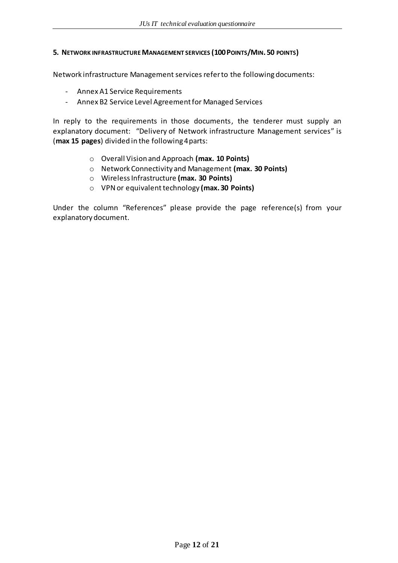#### **5. NETWORK INFRASTRUCTURE MANAGEMENT SERVICES (100POINTS/MIN. 50 POINTS)**

Network infrastructure Management servicesrefer to the following documents:

- Annex A1 Service Requirements
- Annex B2 Service Level Agreement for Managed Services

In reply to the requirements in those documents, the tenderer must supply an explanatory document: "Delivery of Network infrastructure Management services" is (**max 15 pages**) divided in the following 4 parts:

- o Overall Vision and Approach **(max. 10 Points)**
- o Network Connectivity and Management **(max. 30 Points)**
- o Wireless Infrastructure **(max. 30 Points)**
- o VPN or equivalent technology **(max. 30 Points)**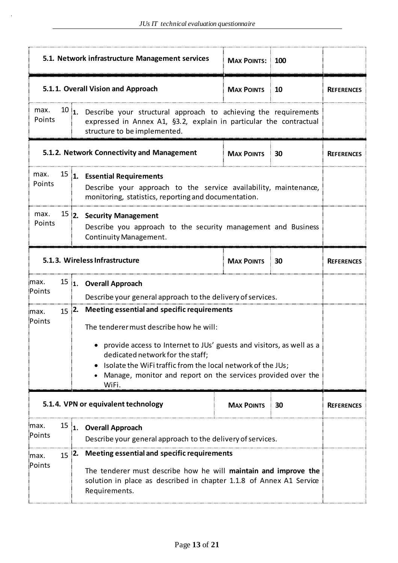|                                                                                                                                                                                                                                                                                                                                                                         |                | 5.1. Network infrastructure Management services                                                                                        | <b>MAX POINTS: 100</b> |    |                   |
|-------------------------------------------------------------------------------------------------------------------------------------------------------------------------------------------------------------------------------------------------------------------------------------------------------------------------------------------------------------------------|----------------|----------------------------------------------------------------------------------------------------------------------------------------|------------------------|----|-------------------|
|                                                                                                                                                                                                                                                                                                                                                                         |                | 5.1.1. Overall Vision and Approach                                                                                                     | <b>MAX POINTS</b>      | 10 | <b>REFERENCES</b> |
| max.<br>$10$ 1. Describe your structural approach to achieving the requirements<br>Points<br>expressed in Annex A1, §3.2, explain in particular the contractual<br>structure to be implemented.                                                                                                                                                                         |                |                                                                                                                                        |                        |    |                   |
|                                                                                                                                                                                                                                                                                                                                                                         |                | 5.1.2. Network Connectivity and Management                                                                                             | <b>MAX POINTS</b>      | 30 | <b>REFERENCES</b> |
| 15 1. Essential Requirements<br>max.<br>Points<br>Describe your approach to the service availability, maintenance,<br>monitoring, statistics, reporting and documentation.                                                                                                                                                                                              |                |                                                                                                                                        |                        |    |                   |
| max.<br>Points                                                                                                                                                                                                                                                                                                                                                          |                | <sup>15</sup> 2. Security Management<br>Describe you approach to the security management and Business<br><b>Continuity Management.</b> |                        |    |                   |
| 5.1.3. Wireless Infrastructure<br><b>MAX POINTS</b><br>30                                                                                                                                                                                                                                                                                                               |                |                                                                                                                                        | <b>REFERENCES</b>      |    |                   |
| max.<br><sup>15</sup> 1. Overall Approach<br>Points<br>Describe your general approach to the delivery of services.                                                                                                                                                                                                                                                      |                |                                                                                                                                        |                        |    |                   |
| Meeting essential and specific requirements<br>$15$ 2.<br>max.<br>Points<br>The tenderer must describe how he will:<br>provide access to Internet to JUs' guests and visitors, as well as a<br>dedicated network for the staff;<br>Isolate the WiFi traffic from the local network of the JUs;<br>Manage, monitor and report on the services provided over the<br>WiFi. |                |                                                                                                                                        |                        |    |                   |
|                                                                                                                                                                                                                                                                                                                                                                         |                | 5.1.4. VPN or equivalent technology                                                                                                    | <b>MAX POINTS</b>      | 30 | <b>REFERENCES</b> |
| max.<br>Points                                                                                                                                                                                                                                                                                                                                                          | $15 \vert_{1}$ | <b>Overall Approach</b><br>Describe your general approach to the delivery of services.                                                 |                        |    |                   |
| Meeting essential and specific requirements<br>$15$ 2.<br>max.<br>Points<br>The tenderer must describe how he will maintain and improve the<br>solution in place as described in chapter 1.1.8 of Annex A1 Service<br>Requirements.                                                                                                                                     |                |                                                                                                                                        |                        |    |                   |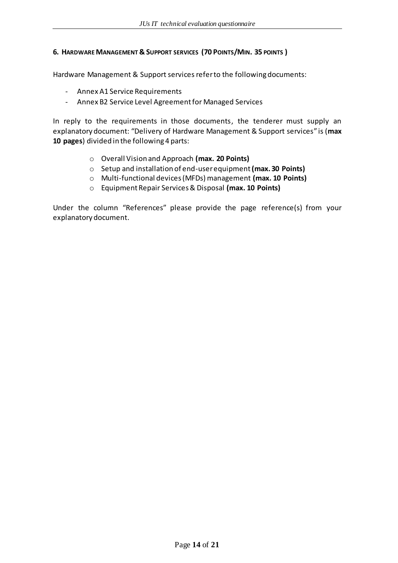#### **6. HARDWARE MANAGEMENT & SUPPORT SERVICES (70 POINTS/MIN. 35 POINTS )**

Hardware Management & Support servicesrefer to the following documents:

- Annex A1 Service Requirements
- Annex B2 Service Level Agreement for Managed Services

In reply to the requirements in those documents, the tenderer must supply an explanatory document: "Delivery of Hardware Management & Support services" is (**max 10 pages**) divided in the following 4 parts:

- o Overall Vision and Approach **(max. 20 Points)**
- o Setup and installation of end-user equipment **(max. 30 Points)**
- o Multi-functional devices (MFDs) management **(max. 10 Points)**
- o Equipment Repair Services & Disposal **(max. 10 Points)**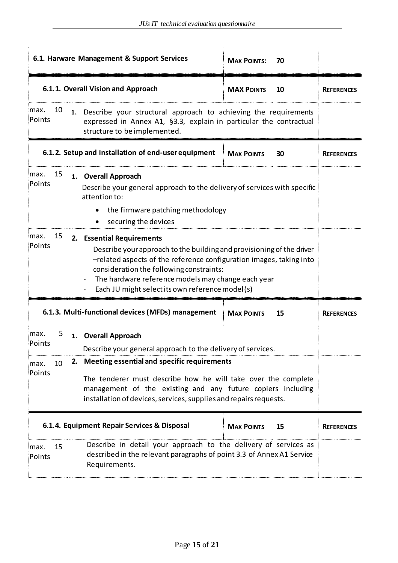|                                                                                                                                                                                                                                                                                                                                                        | 6.1. Harware Management & Support Services                                                                                                                                                  | <b>MAX POINTS: 70</b> |    |                   |  |
|--------------------------------------------------------------------------------------------------------------------------------------------------------------------------------------------------------------------------------------------------------------------------------------------------------------------------------------------------------|---------------------------------------------------------------------------------------------------------------------------------------------------------------------------------------------|-----------------------|----|-------------------|--|
|                                                                                                                                                                                                                                                                                                                                                        | 6.1.1. Overall Vision and Approach                                                                                                                                                          | <b>MAX POINTS</b>     | 10 | <b>REFERENCES</b> |  |
| imax.<br>Points                                                                                                                                                                                                                                                                                                                                        | 10 <sup>1</sup><br>1. Describe your structural approach to achieving the requirements<br>expressed in Annex A1, §3.3, explain in particular the contractual<br>structure to be implemented. |                       |    |                   |  |
|                                                                                                                                                                                                                                                                                                                                                        | 6.1.2. Setup and installation of end-user equipment                                                                                                                                         | <b>MAX POINTS</b>     | 30 | <b>REFERENCES</b> |  |
| 15<br>max.<br>1. Overall Approach<br>Points<br>Describe your general approach to the delivery of services with specific<br>attention to:<br>the firmware patching methodology<br>securing the devices                                                                                                                                                  |                                                                                                                                                                                             |                       |    |                   |  |
| 15<br>max.<br>2. Essential Requirements<br>Points<br>Describe your approach to the building and provisioning of the driver<br>-related aspects of the reference configuration images, taking into<br>consideration the following constraints:<br>The hardware reference models may change each year<br>Each JU might select its own reference model(s) |                                                                                                                                                                                             |                       |    |                   |  |
|                                                                                                                                                                                                                                                                                                                                                        | 6.1.3. Multi-functional devices (MFDs) management                                                                                                                                           | <b>MAX POINTS</b>     | 15 | <b>REFERENCES</b> |  |
| 5 :<br>:max.<br>∶Points                                                                                                                                                                                                                                                                                                                                | 1. Overall Approach<br>Describe your general approach to the delivery of services.                                                                                                          |                       |    |                   |  |
| Meeting essential and specific requirements<br>2.<br>10<br>max.<br>Points<br>The tenderer must describe how he will take over the complete<br>management of the existing and any future copiers including<br>installation of devices, services, supplies and repairs requests.                                                                         |                                                                                                                                                                                             |                       |    |                   |  |
|                                                                                                                                                                                                                                                                                                                                                        | 6.1.4. Equipment Repair Services & Disposal                                                                                                                                                 | <b>MAX POINTS</b>     | 15 | <b>REFERENCES</b> |  |
| 15<br>max.<br>Points                                                                                                                                                                                                                                                                                                                                   | Describe in detail your approach to the delivery of services as<br>described in the relevant paragraphs of point 3.3 of Annex A1 Service<br>Requirements.                                   |                       |    |                   |  |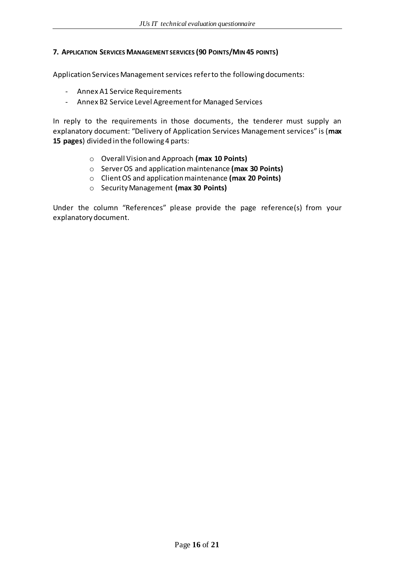#### **7. APPLICATION SERVICES MANAGEMENT SERVICES (90 POINTS/MIN 45 POINTS)**

Application Services Management servicesrefer to the following documents:

- Annex A1 Service Requirements
- Annex B2 Service Level Agreement for Managed Services

In reply to the requirements in those documents, the tenderer must supply an explanatory document: "Delivery of Application Services Management services" is (**max 15 pages**) divided in the following 4 parts:

- o Overall Vision and Approach **(max 10 Points)**
- o Server OS and application maintenance **(max 30 Points)**
- o Client OS and application maintenance **(max 20 Points)**
- o Security Management **(max 30 Points)**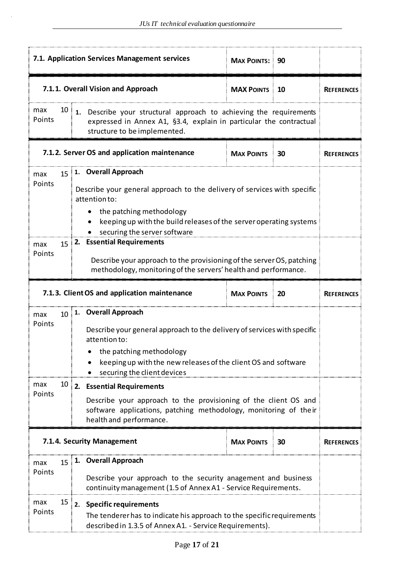|                                                                                                                                                                                                                                                                   |                                                                                                                                                                               | 7.1. Application Services Management services                                                                                                                                                                                                                                                                                                                                                                                         | <b>MAX POINTS: 90</b> |  |                   |
|-------------------------------------------------------------------------------------------------------------------------------------------------------------------------------------------------------------------------------------------------------------------|-------------------------------------------------------------------------------------------------------------------------------------------------------------------------------|---------------------------------------------------------------------------------------------------------------------------------------------------------------------------------------------------------------------------------------------------------------------------------------------------------------------------------------------------------------------------------------------------------------------------------------|-----------------------|--|-------------------|
|                                                                                                                                                                                                                                                                   |                                                                                                                                                                               | 7.1.1. Overall Vision and Approach                                                                                                                                                                                                                                                                                                                                                                                                    | <b>MAX POINTS 10</b>  |  | <b>REFERENCES</b> |
| max<br>Points                                                                                                                                                                                                                                                     | $10$ 1. Describe your structural approach to achieving the requirements<br>expressed in Annex A1, §3.4, explain in particular the contractual<br>structure to be implemented. |                                                                                                                                                                                                                                                                                                                                                                                                                                       |                       |  |                   |
|                                                                                                                                                                                                                                                                   | 7.1.2. Server OS and application maintenance<br><b>MAX POINTS</b><br>$\frac{1}{2}$ 30                                                                                         |                                                                                                                                                                                                                                                                                                                                                                                                                                       |                       |  | <b>REFERENCES</b> |
| max<br>Points<br>max<br>Points                                                                                                                                                                                                                                    |                                                                                                                                                                               | 15 1. Overall Approach<br>Describe your general approach to the delivery of services with specific<br>attention to:<br>the patching methodology<br>keeping up with the build releases of the server operating systems<br>securing the server software<br>$15$   2. Essential Requirements<br>Describe your approach to the provisioning of the server OS, patching<br>methodology, monitoring of the servers' health and performance. |                       |  |                   |
| 7.1.3. Client OS and application maintenance<br><b>MAX POINTS</b><br>20                                                                                                                                                                                           |                                                                                                                                                                               |                                                                                                                                                                                                                                                                                                                                                                                                                                       | <b>REFERENCES</b>     |  |                   |
| 10 1. Overall Approach<br>max<br>Points<br>Describe your general approach to the delivery of services with specific<br>attention to:<br>the patching methodology<br>keeping up with the new releases of the client OS and software<br>securing the client devices |                                                                                                                                                                               |                                                                                                                                                                                                                                                                                                                                                                                                                                       |                       |  |                   |
| max                                                                                                                                                                                                                                                               |                                                                                                                                                                               | $10$ 2. Essential Requirements                                                                                                                                                                                                                                                                                                                                                                                                        |                       |  |                   |
| Points<br>Describe your approach to the provisioning of the client OS and<br>software applications, patching methodology, monitoring of their<br>health and performance.                                                                                          |                                                                                                                                                                               |                                                                                                                                                                                                                                                                                                                                                                                                                                       |                       |  |                   |
|                                                                                                                                                                                                                                                                   |                                                                                                                                                                               | 7.1.4. Security Management                                                                                                                                                                                                                                                                                                                                                                                                            | <b>MAX POINTS 30</b>  |  | <b>REFERENCES</b> |
| max                                                                                                                                                                                                                                                               |                                                                                                                                                                               | $15$ 1. Overall Approach                                                                                                                                                                                                                                                                                                                                                                                                              |                       |  |                   |
| Points                                                                                                                                                                                                                                                            |                                                                                                                                                                               | Describe your approach to the security anagement and business<br>continuity management (1.5 of Annex A1 - Service Requirements.                                                                                                                                                                                                                                                                                                       |                       |  |                   |
| $15$ 2. Specific requirements<br>max<br>Points<br>The tenderer has to indicate his approach to the specific requirements<br>described in 1.3.5 of Annex A1. - Service Requirements).                                                                              |                                                                                                                                                                               |                                                                                                                                                                                                                                                                                                                                                                                                                                       |                       |  |                   |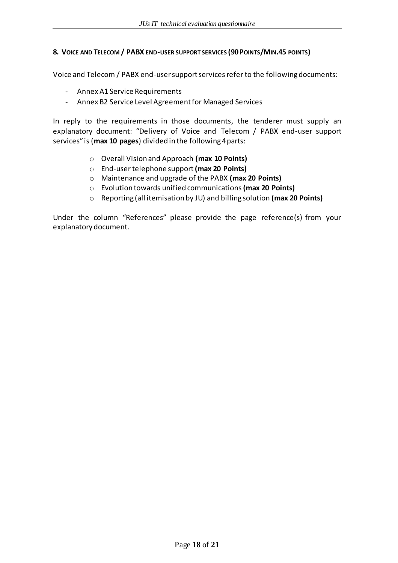#### **8. VOICE AND TELECOM / PABX END-USER SUPPORT SERVICES (90POINTS/MIN.45 POINTS)**

Voice and Telecom / PABX end-user support servicesrefer to the following documents:

- Annex A1 Service Requirements
- Annex B2 Service Level Agreement for Managed Services

In reply to the requirements in those documents, the tenderer must supply an explanatory document: "Delivery of Voice and Telecom / PABX end-user support services" is (**max 10 pages**) divided in the following 4 parts:

- o Overall Vision and Approach **(max 10 Points)**
- o End-user telephone support **(max 20 Points)**
- o Maintenance and upgrade of the PABX **(max 20 Points)**
- o Evolution towards unified communications **(max 20 Points)**
- o Reporting (all itemisation by JU) and billing solution **(max 20 Points)**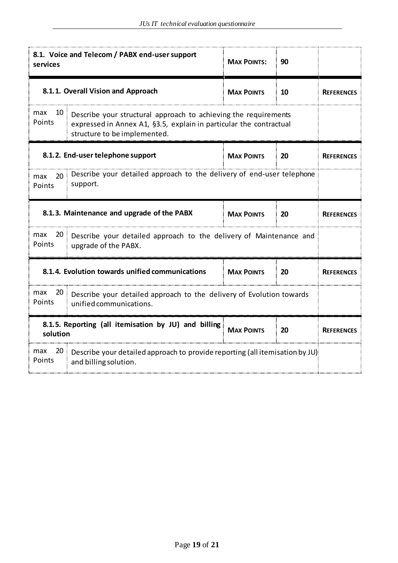| 8.1. Voice and Telecom / PABX end-user support<br><b>MAX POINTS:</b><br>90<br>services                                                                                                       |                                                              |                   |                   |                   |
|----------------------------------------------------------------------------------------------------------------------------------------------------------------------------------------------|--------------------------------------------------------------|-------------------|-------------------|-------------------|
| 8.1.1. Overall Vision and Approach<br><b>MAX POINTS</b><br>10                                                                                                                                |                                                              |                   |                   |                   |
| max<br>10<br>Describe your structural approach to achieving the requirements<br>Points<br>expressed in Annex A1, §3.5, explain in particular the contractual<br>structure to be implemented. |                                                              |                   |                   |                   |
|                                                                                                                                                                                              | 8.1.2. End-user telephone support<br><b>MAX POINTS</b><br>20 |                   |                   |                   |
| Describe your detailed approach to the delivery of end-user telephone<br>20:<br>max<br>support.<br>Points                                                                                    |                                                              |                   |                   |                   |
| 8.1.3. Maintenance and upgrade of the PABX<br><b>MAX POINTS</b><br>20                                                                                                                        |                                                              |                   |                   | <b>REFERENCES</b> |
| max<br>20<br>Describe your detailed approach to the delivery of Maintenance and<br>Points<br>upgrade of the PABX.                                                                            |                                                              |                   |                   |                   |
|                                                                                                                                                                                              | 8.1.4. Evolution towards unified communications              | <b>MAX POINTS</b> | 20                | <b>REFERENCES</b> |
| max<br>20:<br>Describe your detailed approach to the delivery of Evolution towards<br>Points<br>unified communications.                                                                      |                                                              |                   |                   |                   |
| 8.1.5. Reporting (all itemisation by JU) and billing<br><b>MAX POINTS</b><br>20<br>solution                                                                                                  |                                                              |                   | <b>REFERENCES</b> |                   |
| 20:<br>max<br>Describe your detailed approach to provide reporting (all itemisation by JU)<br>Points<br>and billing solution.                                                                |                                                              |                   |                   |                   |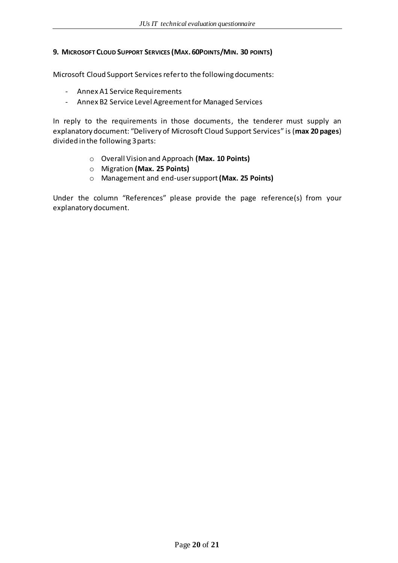#### **9. MICROSOFT CLOUD SUPPORT SERVICES (MAX. 60POINTS/MIN. 30 POINTS)**

Microsoft Cloud Support Services refer to the following documents:

- Annex A1 Service Requirements
- Annex B2 Service Level Agreement for Managed Services

In reply to the requirements in those documents, the tenderer must supply an explanatory document: "Delivery of Microsoft Cloud Support Services" is (**max 20 pages**) divided in the following 3parts:

- o Overall Vision and Approach **(Max. 10 Points)**
- o Migration **(Max. 25 Points)**
- o Management and end-user support **(Max. 25 Points)**